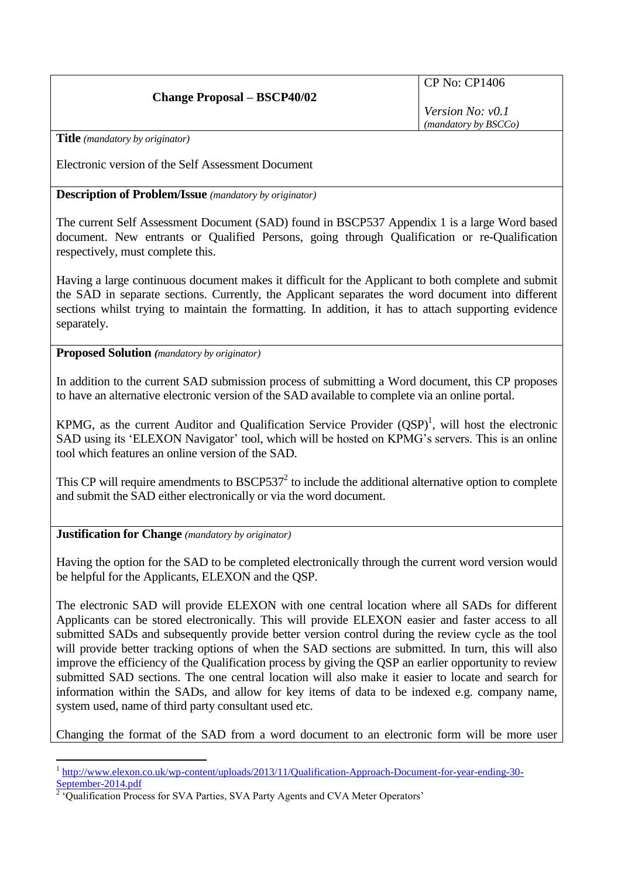## **Change Proposal – BSCP40/02**

CP No: CP1406

*Version No: v0.1 (mandatory by BSCCo)*

**Title** *(mandatory by originator)*

Electronic version of the Self Assessment Document

**Description of Problem/Issue** *(mandatory by originator)*

The current Self Assessment Document (SAD) found in BSCP537 Appendix 1 is a large Word based document. New entrants or Qualified Persons, going through Qualification or re-Qualification respectively, must complete this.

Having a large continuous document makes it difficult for the Applicant to both complete and submit the SAD in separate sections. Currently, the Applicant separates the word document into different sections whilst trying to maintain the formatting. In addition, it has to attach supporting evidence separately.

**Proposed Solution** *(mandatory by originator)*

In addition to the current SAD submission process of submitting a Word document, this CP proposes to have an alternative electronic version of the SAD available to complete via an online portal.

KPMG, as the current Auditor and Qualification Service Provider  $(QSP)^1$ , will host the electronic SAD using its 'ELEXON Navigator' tool, which will be hosted on KPMG's servers. This is an online tool which features an online version of the SAD.

This CP will require amendments to  $BSCP537<sup>2</sup>$  to include the additional alternative option to complete and submit the SAD either electronically or via the word document.

**Justification for Change** *(mandatory by originator)*

1

Having the option for the SAD to be completed electronically through the current word version would be helpful for the Applicants, ELEXON and the QSP.

The electronic SAD will provide ELEXON with one central location where all SADs for different Applicants can be stored electronically. This will provide ELEXON easier and faster access to all submitted SADs and subsequently provide better version control during the review cycle as the tool will provide better tracking options of when the SAD sections are submitted. In turn, this will also improve the efficiency of the Qualification process by giving the QSP an earlier opportunity to review submitted SAD sections. The one central location will also make it easier to locate and search for information within the SADs, and allow for key items of data to be indexed e.g. company name, system used, name of third party consultant used etc.

Changing the format of the SAD from a word document to an electronic form will be more user

<sup>&</sup>lt;sup>1</sup> [http://www.elexon.co.uk/wp-content/uploads/2013/11/Qualification-Approach-Document-for-year-ending-30-](http://www.elexon.co.uk/wp-content/uploads/2013/11/Qualification-Approach-Document-for-year-ending-30-September-2014.pdf) [September-2014.pdf](http://www.elexon.co.uk/wp-content/uploads/2013/11/Qualification-Approach-Document-for-year-ending-30-September-2014.pdf)<br><sup>2</sup> 'Qualification Process for SVA Parties, SVA Party Agents and CVA Meter Operators'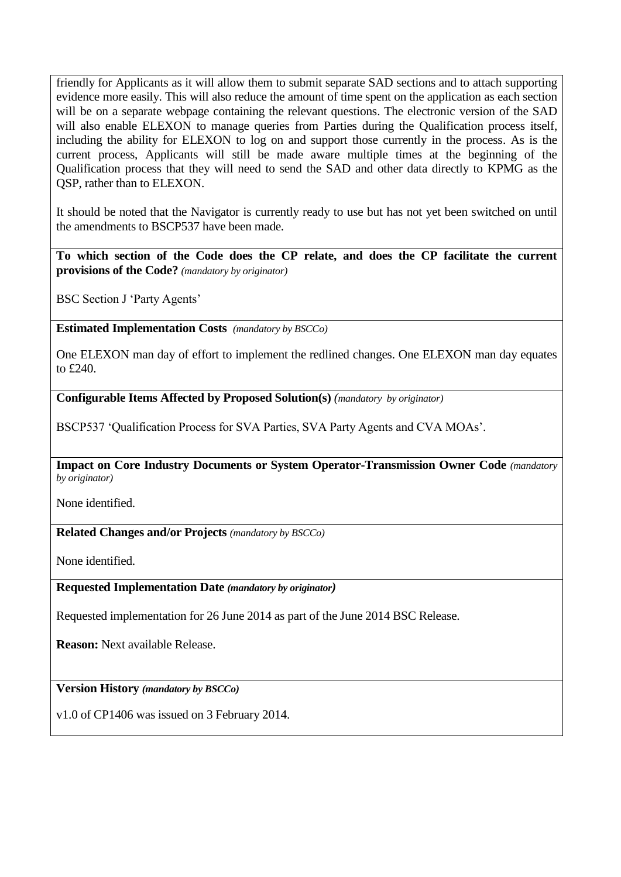friendly for Applicants as it will allow them to submit separate SAD sections and to attach supporting evidence more easily. This will also reduce the amount of time spent on the application as each section will be on a separate webpage containing the relevant questions. The electronic version of the SAD will also enable ELEXON to manage queries from Parties during the Qualification process itself, including the ability for ELEXON to log on and support those currently in the process. As is the current process, Applicants will still be made aware multiple times at the beginning of the Qualification process that they will need to send the SAD and other data directly to KPMG as the QSP, rather than to ELEXON.

It should be noted that the Navigator is currently ready to use but has not yet been switched on until the amendments to BSCP537 have been made.

**To which section of the Code does the CP relate, and does the CP facilitate the current provisions of the Code?** *(mandatory by originator)*

BSC Section J 'Party Agents'

**Estimated Implementation Costs** *(mandatory by BSCCo)*

One ELEXON man day of effort to implement the redlined changes. One ELEXON man day equates to £240.

**Configurable Items Affected by Proposed Solution(s)** *(mandatory by originator)*

BSCP537 'Qualification Process for SVA Parties, SVA Party Agents and CVA MOAs'.

**Impact on Core Industry Documents or System Operator-Transmission Owner Code** *(mandatory by originator)*

None identified.

**Related Changes and/or Projects** *(mandatory by BSCCo)*

None identified.

**Requested Implementation Date** *(mandatory by originator)*

Requested implementation for 26 June 2014 as part of the June 2014 BSC Release.

**Reason:** Next available Release.

**Version History** *(mandatory by BSCCo)*

v1.0 of CP1406 was issued on 3 February 2014.